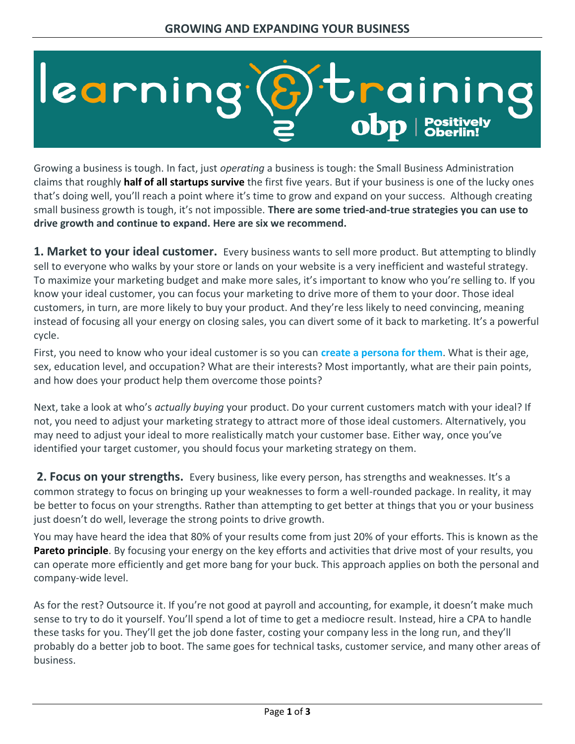## learning *i*trainin  $\bf{obb}$  | Positively

Growing a business is tough. In fact, just *operating* a business is tough: the Small Business Administration claims that roughly **half of all startups survive** the first five years. But if your business is one of the lucky ones that's doing well, you'll reach a point where it's time to grow and expand on your success. Although creating small business growth is tough, it's not impossible. **There are some tried-and-true strategies you can use to drive growth and continue to expand. Here are six we recommend.**

**1. Market to your ideal customer.** Every business wants to sell more product. But attempting to blindly sell to everyone who walks by your store or lands on your website is a very inefficient and wasteful strategy. To maximize your marketing budget and make more sales, it's important to know who you're selling to. If you know your ideal customer, you can focus your marketing to drive more of them to your door. Those ideal customers, in turn, are more likely to buy your product. And they're less likely to need convincing, meaning instead of focusing all your energy on closing sales, you can divert some of it back to marketing. It's a powerful cycle.

First, you need to know who your ideal customer is so you can **create a persona for them**. What is their age, sex, education level, and occupation? What are their interests? Most importantly, what are their pain points, and how does your product help them overcome those points?

Next, take a look at who's *actually buying* your product. Do your current customers match with your ideal? If not, you need to adjust your marketing strategy to attract more of those ideal customers. Alternatively, you may need to adjust your ideal to more realistically match your customer base. Either way, once you've identified your target customer, you should focus your marketing strategy on them.

**2. Focus on your strengths.** Every business, like every person, has strengths and weaknesses. It's a common strategy to focus on bringing up your weaknesses to form a well-rounded package. In reality, it may be better to focus on your strengths. Rather than attempting to get better at things that you or your business just doesn't do well, leverage the strong points to drive growth.

You may have heard the idea that 80% of your results come from just 20% of your efforts. This is known as the **Pareto principle**. By focusing your energy on the key efforts and activities that drive most of your results, you can operate more efficiently and get more bang for your buck. This approach applies on both the personal and company-wide level.

As for the rest? Outsource it. If you're not good at payroll and accounting, for example, it doesn't make much sense to try to do it yourself. You'll spend a lot of time to get a mediocre result. Instead, hire a CPA to handle these tasks for you. They'll get the job done faster, costing your company less in the long run, and they'll probably do a better job to boot. The same goes for technical tasks, customer service, and many other areas of business.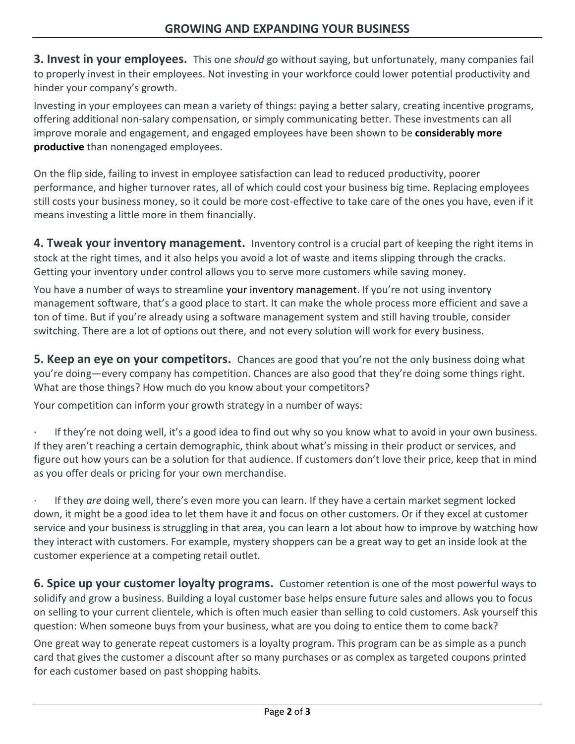**3. Invest in your employees.** This one *should* go without saying, but unfortunately, many companies fail to properly invest in their employees. Not investing in your workforce could lower potential productivity and hinder your company's growth.

Investing in your employees can mean a variety of things: paying a better salary, creating incentive programs, offering additional non-salary compensation, or simply communicating better. These investments can all improve morale and engagement, and engaged employees have been shown to be **[considerably more](https://www.gallup.com/workplace/236927/employee-engagement-drives-growth.aspx)  [productive](https://www.gallup.com/workplace/236927/employee-engagement-drives-growth.aspx)** than nonengaged employees.

On the flip side, failing to invest in employee satisfaction can lead to reduced productivity, poorer performance, and higher turnover rates, all of which could cost your business big time. Replacing employees still costs your business money, so it could be more cost-effective to take care of the ones you have, even if it means investing a little more in them financially.

**4. Tweak your inventory management.** Inventory control is a crucial part of keeping the right items in stock at the right times, and it also helps you avoid a lot of waste and items slipping through the cracks. Getting your inventory under control allows you to serve more customers while saving money.

You have a number of ways to streamline your [inventory management](https://www.business.org/finance/cost-management/best-inventory-management-software/#FAQs). If you're not using inventory management software, that's a good place to start. It can make the whole process more efficient and save a ton of time. But if you're already using a software management system and still having trouble, consider switching. There are a lot of options out there, and not every solution will work for every business.

**5. Keep an eye on your competitors.** Chances are good that you're not the only business doing what you're doing—every company has competition. Chances are also good that they're doing some things right. What are those things? How much do you know about your competitors?

Your competition can inform your growth strategy in a number of ways:

If they're not doing well, it's a good idea to find out why so you know what to avoid in your own business. If they aren't reaching a certain demographic, think about what's missing in their product or services, and figure out how yours can be a solution for that audience. If customers don't love their price, keep that in mind as you offer deals or pricing for your own merchandise.

· If they *are* doing well, there's even more you can learn. If they have a certain market segment locked down, it might be a good idea to let them have it and focus on other customers. Or if they excel at customer service and your business is struggling in that area, you can learn a lot about how to improve by watching how they interact with customers. For example, mystery shoppers can be a great way to get an inside look at the customer experience at a competing retail outlet.

**6. Spice up your customer loyalty programs.** Customer retention is one of the most powerful ways to solidify and grow a business. Building a loyal customer base helps ensure future sales and allows you to focus on selling to your current clientele, which is often much easier than selling to cold customers. Ask yourself this question: When someone buys from your business, what are you doing to entice them to come back?

One great way to generate repeat customers is a loyalty program. This program can be as simple as a punch card that gives the customer a discount after so many purchases or as complex as targeted coupons printed for each customer based on past shopping habits.